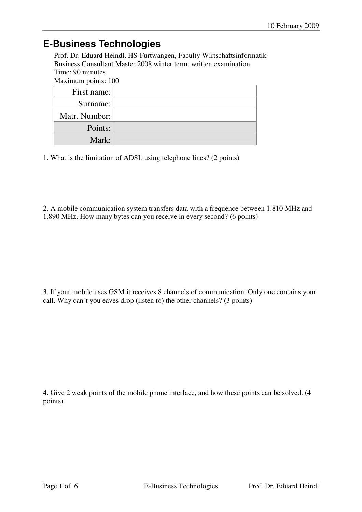## **E-Business Technologies**

Prof. Dr. Eduard Heindl, HS-Furtwangen, Faculty Wirtschaftsinformatik Business Consultant Master 2008 winter term, written examination Time: 90 minutes

Maximum points: 100

| First name:   |  |
|---------------|--|
| Surname:      |  |
| Matr. Number: |  |
| Points:       |  |
| Mark:         |  |

1. What is the limitation of ADSL using telephone lines? (2 points)

2. A mobile communication system transfers data with a frequence between 1.810 MHz and 1.890 MHz. How many bytes can you receive in every second? (6 points)

3. If your mobile uses GSM it receives 8 channels of communication. Only one contains your call. Why can´t you eaves drop (listen to) the other channels? (3 points)

4. Give 2 weak points of the mobile phone interface, and how these points can be solved. (4 points)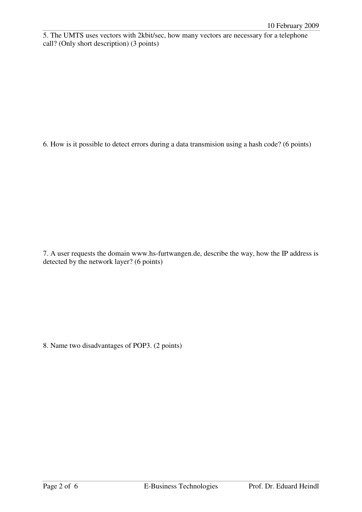5. The UMTS uses vectors with 2kbit/sec, how many vectors are necessary for a telephone call? (Only short description) (3 points)

6. How is it possible to detect errors during a data transmision using a hash code? (6 points)

7. A user requests the domain www.hs-furtwangen.de, describe the way, how the IP address is detected by the network layer? (6 points)

8. Name two disadvantages of POP3. (2 points)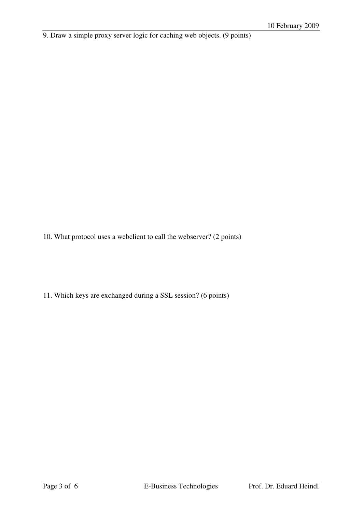9. Draw a simple proxy server logic for caching web objects. (9 points)

10. What protocol uses a webclient to call the webserver? (2 points)

11. Which keys are exchanged during a SSL session? (6 points)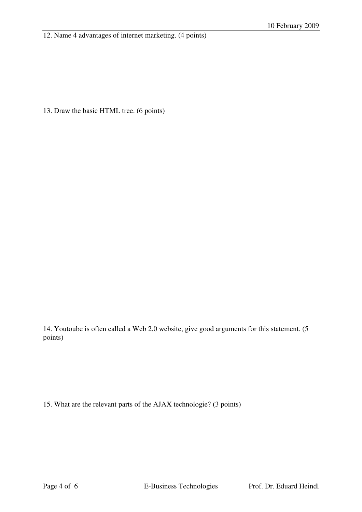12. Name 4 advantages of internet marketing. (4 points)

13. Draw the basic HTML tree. (6 points)

14. Youtoube is often called a Web 2.0 website, give good arguments for this statement. (5 points)

15. What are the relevant parts of the AJAX technologie? (3 points)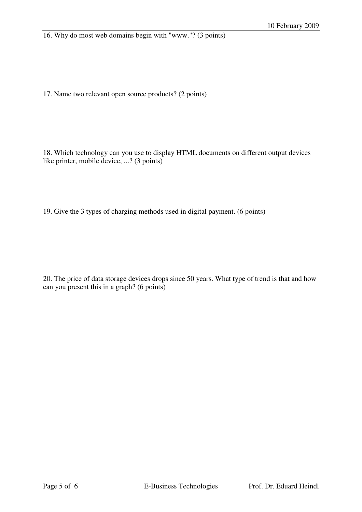16. Why do most web domains begin with "www."? (3 points)

17. Name two relevant open source products? (2 points)

18. Which technology can you use to display HTML documents on different output devices like printer, mobile device, ...? (3 points)

19. Give the 3 types of charging methods used in digital payment. (6 points)

20. The price of data storage devices drops since 50 years. What type of trend is that and how can you present this in a graph? (6 points)